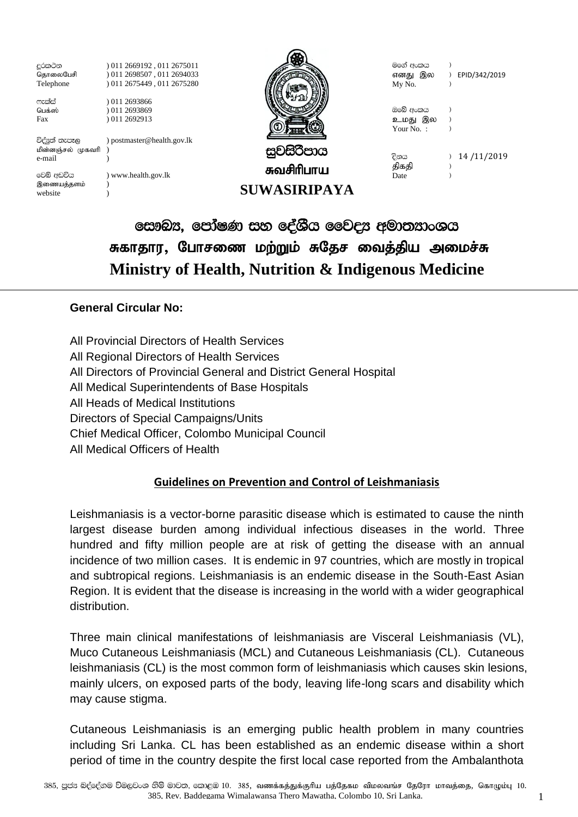| දුරකථන            | 011 2669192, 011 2675011   |              | මගේ අංකය  |                  |
|-------------------|----------------------------|--------------|-----------|------------------|
| தொலைபேசி          | 011 2698507, 011 2694033   |              | எனது இல   | EPID/342/2019    |
| Telephone         | 011 2675449, 011 2675280   |              | My No.    |                  |
| ෆැක්ස්            | 011 2693866                |              |           |                  |
| பெக்ஸ்            | 011 2693869                |              | ඔබේ අංකය  |                  |
| Fax               | 011 2692913                |              | உமது இல   |                  |
|                   |                            | Vantag       | Your No.: |                  |
| විද්යුත් තැපෑල    | ) postmaster@health.gov.lk |              |           |                  |
| மின்னஞ்சல் முகவரி |                            | සුවසිරිපාය   |           |                  |
| e-mail            |                            |              | දිනය      | 0 14 / 11 / 2019 |
|                   |                            | சுவசிரிபாய   | திகதி     |                  |
| වෙබ් අඩවිය        | www.health.gov.lk          |              | Date      |                  |
| இணையத்தளம்        |                            | SUWASIRIPAYA |           |                  |
| website           |                            |              |           |                  |

සෞඛ $x$ , පෝෂණ සහ දේශීය වෛදූ අමාතනාංශය சுகாதார, போசணை மற்றும் சுதேச வைத்திய அமைச்சு **Ministry of Health, Nutrition & Indigenous Medicine**

#### **General Circular No:**

All Provincial Directors of Health Services All Regional Directors of Health Services All Directors of Provincial General and District General Hospital All Medical Superintendents of Base Hospitals All Heads of Medical Institutions Directors of Special Campaigns/Units Chief Medical Officer, Colombo Municipal Council All Medical Officers of Health

### **Guidelines on Prevention and Control of Leishmaniasis**

Leishmaniasis is a vector-borne parasitic disease which is estimated to cause the ninth largest disease burden among individual infectious diseases in the world. Three hundred and fifty million people are at risk of getting the disease with an annual incidence of two million cases. It is endemic in 97 countries, which are mostly in tropical and subtropical regions. Leishmaniasis is an endemic disease in the South-East Asian Region. It is evident that the disease is increasing in the world with a wider geographical distribution.

Three main clinical manifestations of leishmaniasis are Visceral Leishmaniasis (VL), Muco Cutaneous Leishmaniasis (MCL) and Cutaneous Leishmaniasis (CL). Cutaneous leishmaniasis (CL) is the most common form of leishmaniasis which causes skin lesions, mainly ulcers, on exposed parts of the body, leaving life-long scars and disability which may cause stigma.

Cutaneous Leishmaniasis is an emerging public health problem in many countries including Sri Lanka. CL has been established as an endemic disease within a short period of time in the country despite the first local case reported from the Ambalanthota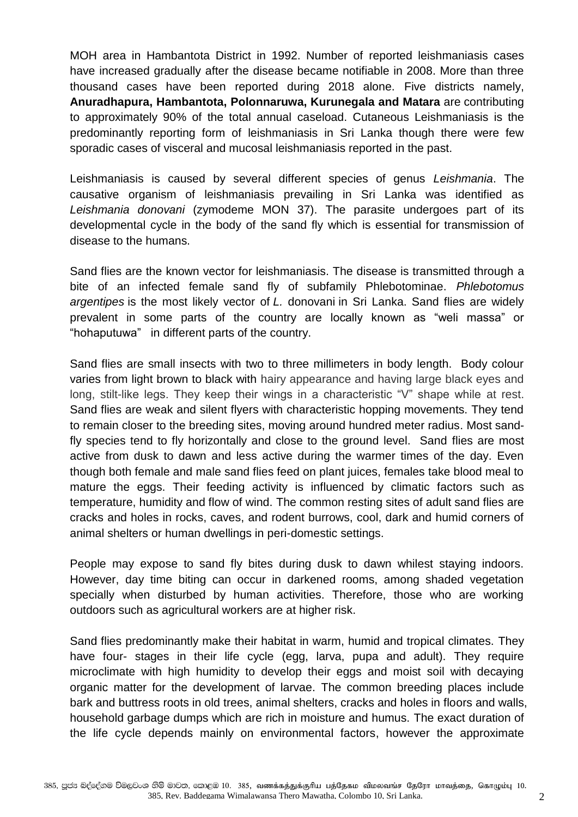MOH area in Hambantota District in 1992. Number of reported leishmaniasis cases have increased gradually after the disease became notifiable in 2008. More than three thousand cases have been reported during 2018 alone. Five districts namely, **Anuradhapura, Hambantota, Polonnaruwa, Kurunegala and Matara** are contributing to approximately 90% of the total annual caseload. Cutaneous Leishmaniasis is the predominantly reporting form of leishmaniasis in Sri Lanka though there were few sporadic cases of visceral and mucosal leishmaniasis reported in the past.

Leishmaniasis is caused by several different species of genus *Leishmania*. The causative organism of leishmaniasis prevailing in Sri Lanka was identified as *Leishmania donovani* (zymodeme MON 37). The parasite undergoes part of its developmental cycle in the body of the sand fly which is essential for transmission of disease to the humans.

Sand flies are the known vector for leishmaniasis. The disease is transmitted through a bite of an infected female sand fly of subfamily Phlebotominae. *Phlebotomus argentipes* is the most likely vector of *L.* donovani in Sri Lanka. Sand flies are widely prevalent in some parts of the country are locally known as "weli massa" or "hohaputuwa" in different parts of the country.

Sand flies are small insects with two to three millimeters in body length. Body colour varies from light brown to black with hairy appearance and having large black eyes and long, stilt-like legs. They keep their wings in a characteristic "V" shape while at rest. Sand flies are weak and silent flyers with characteristic hopping movements. They tend to remain closer to the breeding sites, moving around hundred meter radius. Most sandfly species tend to fly horizontally and close to the ground level. Sand flies are most active from dusk to dawn and less active during the warmer times of the day. Even though both female and male sand flies feed on plant juices, females take blood meal to mature the eggs. Their feeding activity is influenced by climatic factors such as temperature, humidity and flow of wind. The common resting sites of adult sand flies are cracks and holes in rocks, caves, and rodent burrows, cool, dark and humid corners of animal shelters or human dwellings in peri-domestic settings.

People may expose to sand fly bites during dusk to dawn whilest staying indoors. However, day time biting can occur in darkened rooms, among shaded vegetation specially when disturbed by human activities. Therefore, those who are working outdoors such as agricultural workers are at higher risk.

Sand flies predominantly make their habitat in warm, humid and tropical climates. They have four- stages in their life cycle (egg, larva, pupa and adult). They require microclimate with high humidity to develop their eggs and moist soil with decaying organic matter for the development of larvae. The common breeding places include bark and buttress roots in old trees, animal shelters, cracks and holes in floors and walls, household garbage dumps which are rich in moisture and humus. The exact duration of the life cycle depends mainly on environmental factors, however the approximate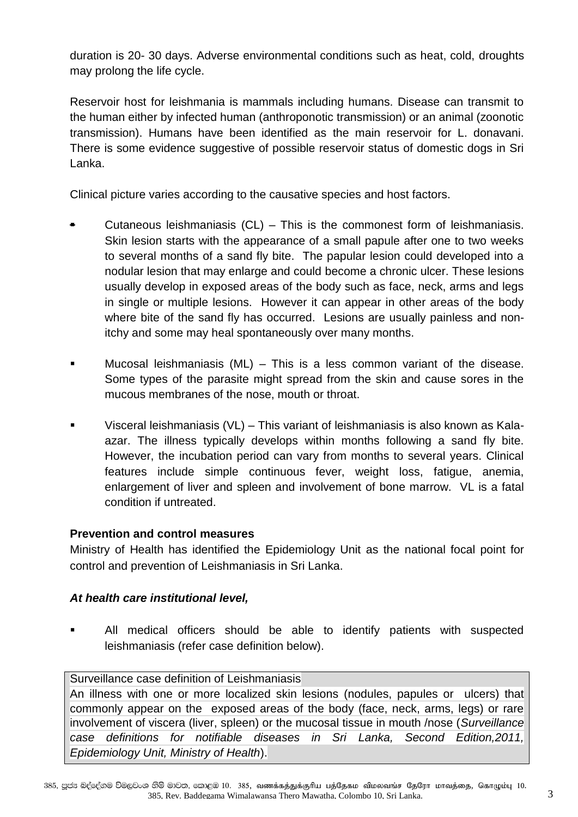duration is 20- 30 days. Adverse environmental conditions such as heat, cold, droughts may prolong the life cycle.

Reservoir host for leishmania is mammals including humans. Disease can transmit to the human either by infected human (anthroponotic transmission) or an animal (zoonotic transmission). Humans have been identified as the main reservoir for L. donavani. There is some evidence suggestive of possible reservoir status of domestic dogs in Sri Lanka.

Clinical picture varies according to the causative species and host factors.

- Cutaneous leishmaniasis (CL) This is the commonest form of leishmaniasis. Skin lesion starts with the appearance of a small papule after one to two weeks to several months of a sand fly bite. The papular lesion could developed into a nodular lesion that may enlarge and could become a chronic ulcer. These lesions usually develop in exposed areas of the body such as face, neck, arms and legs in single or multiple lesions. However it can appear in other areas of the body where bite of the sand fly has occurred. Lesions are usually painless and nonitchy and some may heal spontaneously over many months.
- Mucosal leishmaniasis (ML) This is a less common variant of the disease. Some types of the parasite might spread from the skin and cause sores in the mucous membranes of the nose, mouth or throat.
- Visceral leishmaniasis (VL) This variant of leishmaniasis is also known as Kalaazar. The illness typically develops within months following a sand fly bite. However, the incubation period can vary from months to several years. Clinical features include simple continuous fever, weight loss, fatigue, anemia, enlargement of liver and spleen and involvement of bone marrow. VL is a fatal condition if untreated.

# **Prevention and control measures**

Ministry of Health has identified the Epidemiology Unit as the national focal point for control and prevention of Leishmaniasis in Sri Lanka.

# *At health care institutional level,*

 All medical officers should be able to identify patients with suspected leishmaniasis (refer case definition below).

## Surveillance case definition of Leishmaniasis

An illness with one or more localized skin lesions (nodules, papules or ulcers) that commonly appear on the exposed areas of the body (face, neck, arms, legs) or rare involvement of viscera (liver, spleen) or the mucosal tissue in mouth /nose (*Surveillance case definitions for notifiable diseases in Sri Lanka, Second Edition,2011, Epidemiology Unit, Ministry of Health*).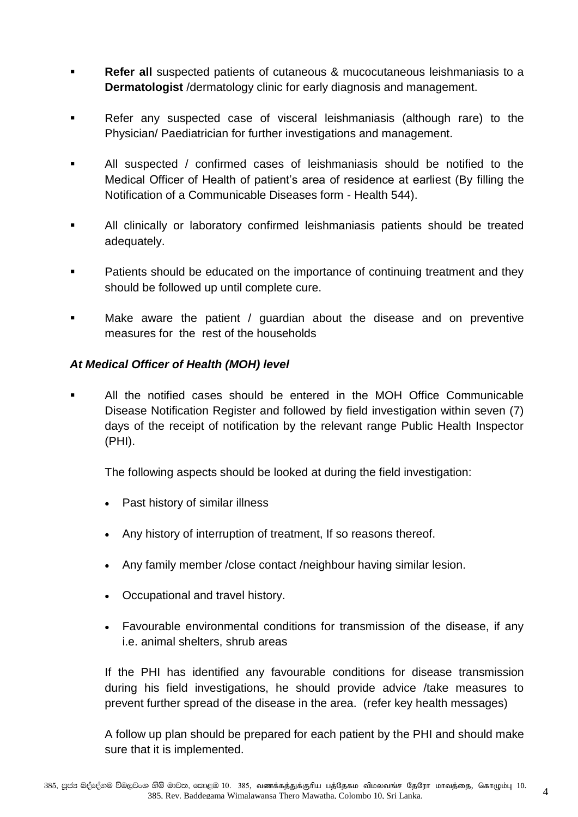- **Refer all** suspected patients of cutaneous & mucocutaneous leishmaniasis to a **Dermatologist** /dermatology clinic for early diagnosis and management.
- **Refer any suspected case of visceral leishmaniasis (although rare) to the** Physician/ Paediatrician for further investigations and management.
- All suspected / confirmed cases of leishmaniasis should be notified to the Medical Officer of Health of patient's area of residence at earliest (By filling the Notification of a Communicable Diseases form - Health 544).
- All clinically or laboratory confirmed leishmaniasis patients should be treated adequately.
- Patients should be educated on the importance of continuing treatment and they should be followed up until complete cure.
- Make aware the patient / guardian about the disease and on preventive measures for the rest of the households

## *At Medical Officer of Health (MOH) level*

 All the notified cases should be entered in the MOH Office Communicable Disease Notification Register and followed by field investigation within seven (7) days of the receipt of notification by the relevant range Public Health Inspector (PHI).

The following aspects should be looked at during the field investigation:

- Past history of similar illness
- Any history of interruption of treatment, If so reasons thereof.
- Any family member /close contact /neighbour having similar lesion.
- Occupational and travel history.
- Favourable environmental conditions for transmission of the disease, if any i.e. animal shelters, shrub areas

If the PHI has identified any favourable conditions for disease transmission during his field investigations, he should provide advice /take measures to prevent further spread of the disease in the area. (refer key health messages)

A follow up plan should be prepared for each patient by the PHI and should make sure that it is implemented.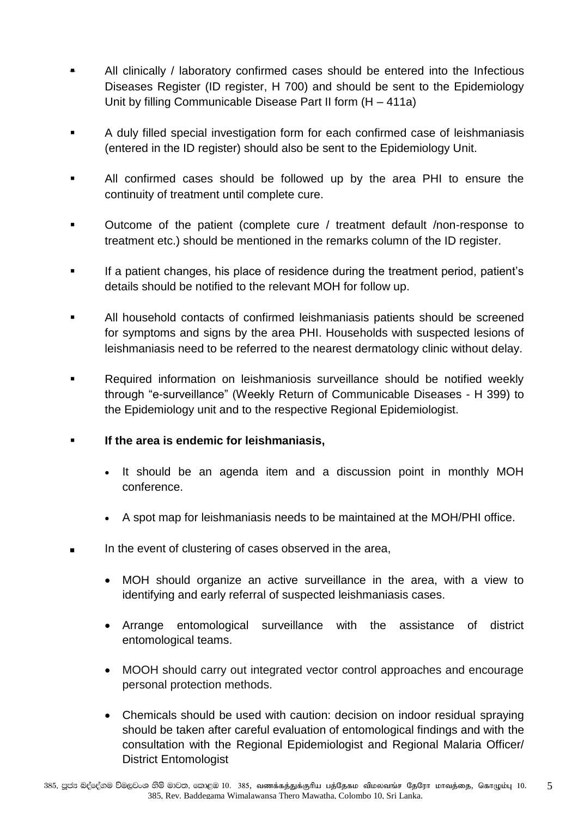- All clinically / laboratory confirmed cases should be entered into the Infectious Diseases Register (ID register, H 700) and should be sent to the Epidemiology Unit by filling Communicable Disease Part II form (H – 411a)
- A duly filled special investigation form for each confirmed case of leishmaniasis (entered in the ID register) should also be sent to the Epidemiology Unit.
- All confirmed cases should be followed up by the area PHI to ensure the continuity of treatment until complete cure.
- Outcome of the patient (complete cure / treatment default /non-response to treatment etc.) should be mentioned in the remarks column of the ID register.
- If a patient changes, his place of residence during the treatment period, patient's details should be notified to the relevant MOH for follow up.
- All household contacts of confirmed leishmaniasis patients should be screened for symptoms and signs by the area PHI. Households with suspected lesions of leishmaniasis need to be referred to the nearest dermatology clinic without delay.
- Required information on leishmaniosis surveillance should be notified weekly through "e-surveillance" (Weekly Return of Communicable Diseases - H 399) to the Epidemiology unit and to the respective Regional Epidemiologist.
- **If the area is endemic for leishmaniasis,**
	- It should be an agenda item and a discussion point in monthly MOH conference.
	- A spot map for leishmaniasis needs to be maintained at the MOH/PHI office.
- In the event of clustering of cases observed in the area,
	- MOH should organize an active surveillance in the area, with a view to identifying and early referral of suspected leishmaniasis cases.
	- Arrange entomological surveillance with the assistance of district entomological teams.
	- MOOH should carry out integrated vector control approaches and encourage personal protection methods.
	- Chemicals should be used with caution: decision on indoor residual spraying should be taken after careful evaluation of entomological findings and with the consultation with the Regional Epidemiologist and Regional Malaria Officer/ District Entomologist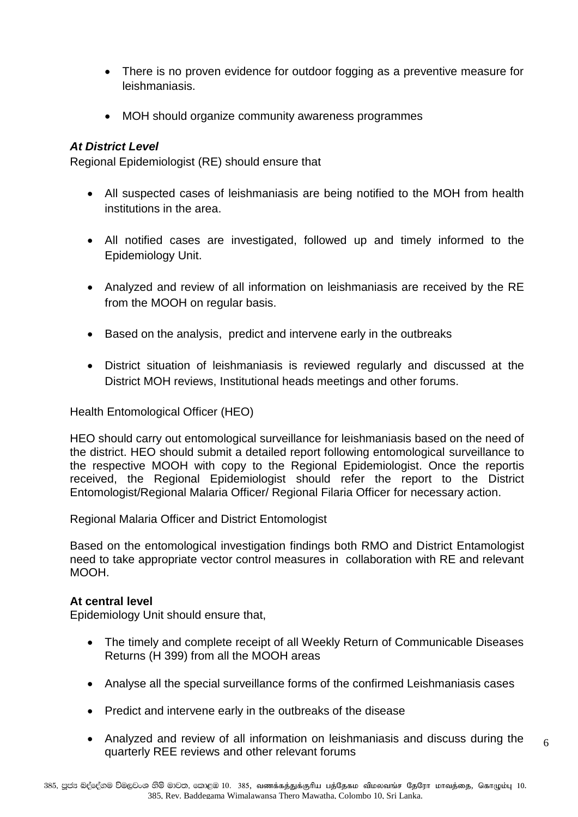- There is no proven evidence for outdoor fogging as a preventive measure for leishmaniasis.
- MOH should organize community awareness programmes

### *At District Level*

Regional Epidemiologist (RE) should ensure that

- All suspected cases of leishmaniasis are being notified to the MOH from health institutions in the area.
- All notified cases are investigated, followed up and timely informed to the Epidemiology Unit.
- Analyzed and review of all information on leishmaniasis are received by the RE from the MOOH on regular basis.
- Based on the analysis, predict and intervene early in the outbreaks
- District situation of leishmaniasis is reviewed regularly and discussed at the District MOH reviews, Institutional heads meetings and other forums.

Health Entomological Officer (HEO)

HEO should carry out entomological surveillance for leishmaniasis based on the need of the district. HEO should submit a detailed report following entomological surveillance to the respective MOOH with copy to the Regional Epidemiologist. Once the reportis received, the Regional Epidemiologist should refer the report to the District Entomologist/Regional Malaria Officer/ Regional Filaria Officer for necessary action.

Regional Malaria Officer and District Entomologist

Based on the entomological investigation findings both RMO and District Entamologist need to take appropriate vector control measures in collaboration with RE and relevant MOOH.

### **At central level**

Epidemiology Unit should ensure that,

- The timely and complete receipt of all Weekly Return of Communicable Diseases Returns (H 399) from all the MOOH areas
- Analyse all the special surveillance forms of the confirmed Leishmaniasis cases
- Predict and intervene early in the outbreaks of the disease
- Analyzed and review of all information on leishmaniasis and discuss during the quarterly REE reviews and other relevant forums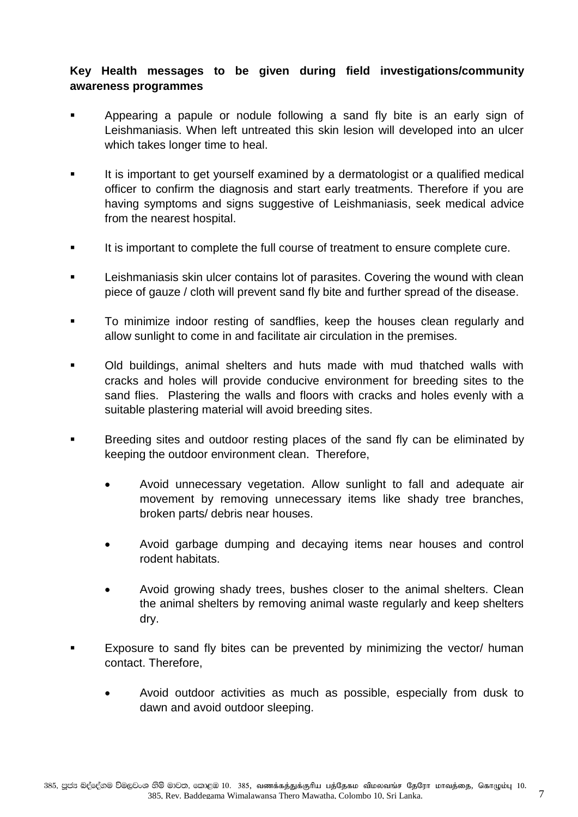## **Key Health messages to be given during field investigations/community awareness programmes**

- **EXED** Appearing a papule or nodule following a sand fly bite is an early sign of Leishmaniasis. When left untreated this skin lesion will developed into an ulcer which takes longer time to heal.
- It is important to get yourself examined by a dermatologist or a qualified medical officer to confirm the diagnosis and start early treatments. Therefore if you are having symptoms and signs suggestive of Leishmaniasis, seek medical advice from the nearest hospital.
- It is important to complete the full course of treatment to ensure complete cure.
- Leishmaniasis skin ulcer contains lot of parasites. Covering the wound with clean piece of gauze / cloth will prevent sand fly bite and further spread of the disease.
- To minimize indoor resting of sandflies, keep the houses clean regularly and allow sunlight to come in and facilitate air circulation in the premises.
- Old buildings, animal shelters and huts made with mud thatched walls with cracks and holes will provide conducive environment for breeding sites to the sand flies. Plastering the walls and floors with cracks and holes evenly with a suitable plastering material will avoid breeding sites.
- Breeding sites and outdoor resting places of the sand fly can be eliminated by keeping the outdoor environment clean. Therefore,
	- Avoid unnecessary vegetation. Allow sunlight to fall and adequate air movement by removing unnecessary items like shady tree branches, broken parts/ debris near houses.
	- Avoid garbage dumping and decaying items near houses and control rodent habitats.
	- Avoid growing shady trees, bushes closer to the animal shelters. Clean the animal shelters by removing animal waste regularly and keep shelters dry.
- Exposure to sand fly bites can be prevented by minimizing the vector/ human contact. Therefore,
	- Avoid outdoor activities as much as possible, especially from dusk to dawn and avoid outdoor sleeping.

7